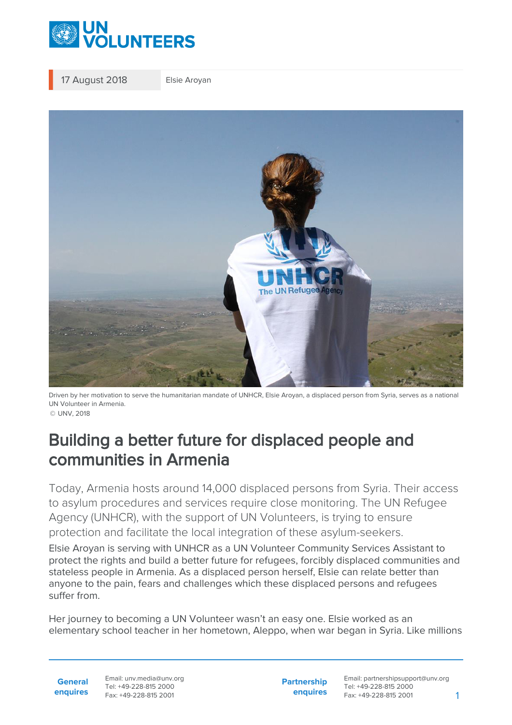

17 August 2018 Elsie Aroyan



Driven by her motivation to serve the humanitarian mandate of UNHCR, Elsie Aroyan, a displaced person from Syria, serves as a national UN Volunteer in Armenia. © UNV, 2018

## Building a better future for displaced people and communities in Armenia

Today, Armenia hosts around 14,000 displaced persons from Syria. Their access to asylum procedures and services require close monitoring. The UN Refugee Agency (UNHCR), with the support of UN Volunteers, is trying to ensure protection and facilitate the local integration of these asylum-seekers.

Elsie Aroyan is serving with UNHCR as a UN Volunteer Community Services Assistant to protect the rights and build a better future for refugees, forcibly displaced communities and stateless people in Armenia. As a displaced person herself, Elsie can relate better than anyone to the pain, fears and challenges which these displaced persons and refugees suffer from.

Her journey to becoming a UN Volunteer wasn't an easy one. Elsie worked as an elementary school teacher in her hometown, Aleppo, when war began in Syria. Like millions

**General enquires** Email: unv.media@unv.org Tel: +49-228-815 2000 Fax: +49-228-815 2001

**Partnership enquires**

Email: partnershipsupport@unv.org Tel: +49-228-815 2000 Fax: +49-228-815 2001 1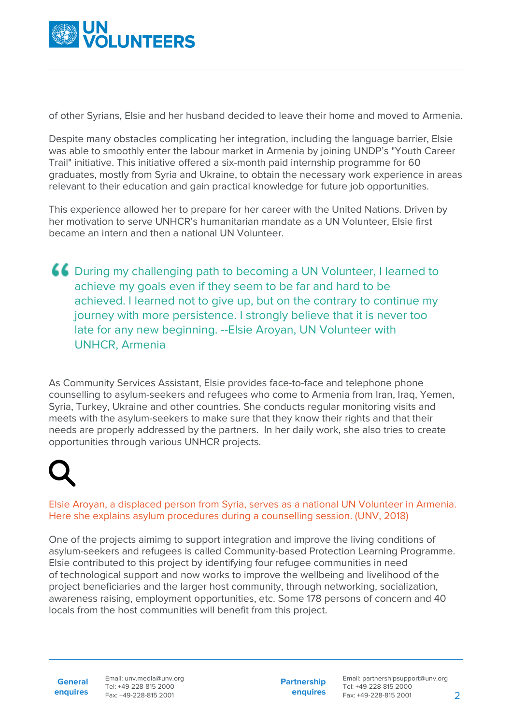

of other Syrians, Elsie and her husband decided to leave their home and moved to Armenia.

Despite many obstacles complicating her integration, including the language barrier, Elsie was able to smoothly enter the labour market in Armenia by joining UNDP's "Youth Career Trail" initiative. This initiative offered a six-month paid internship programme for 60 graduates, mostly from Syria and Ukraine, to obtain the necessary work experience in areas relevant to their education and gain practical knowledge for future job opportunities.

This experience allowed her to prepare for her career with the United Nations. Driven by her motivation to serve UNHCR's humanitarian mandate as a UN Volunteer, Elsie first became an intern and then a national UN Volunteer.

During my challenging path to becoming a UN Volunteer, I learned to achieve my goals even if they seem to be far and hard to be achieved. I learned not to give up, but on the contrary to continue my journey with more persistence. I strongly believe that it is never too late for any new beginning. --Elsie Aroyan, UN Volunteer with UNHCR, Armenia

As Community Services Assistant, Elsie provides face-to-face and telephone phone counselling to asylum-seekers and refugees who come to Armenia from Iran, Iraq, Yemen, Syria, Turkey, Ukraine and other countries. She conducts regular monitoring visits and meets with the asylum-seekers to make sure that they know their rights and that their needs are properly addressed by the partners. In her daily work, she also tries to create opportunities through various UNHCR projects.

Elsie Aroyan, a displaced person from Syria, serves as a national UN Volunteer in Armenia. Here she explains asylum procedures during a counselling session. (UNV, 2018)

One of the projects aimimg to support integration and improve the living conditions of asylum-seekers and refugees is called Community-based Protection Learning Programme. Elsie contributed to this project by identifying four refugee communities in need of technological support and now works to improve the wellbeing and livelihood of the project beneficiaries and the larger host community, through networking, socialization, awareness raising, employment opportunities, etc. Some 178 persons of concern and 40 locals from the host communities will benefit from this project.

**General enquires** Email: unv.media@unv.org Tel: +49-228-815 2000 Fax: +49-228-815 2001

**Partnership enquires**

Email: partnershipsupport@unv.org Tel: +49-228-815 2000 Fax: +49-228-815 2001 2